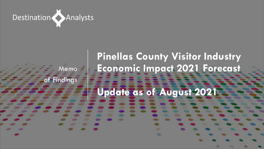

# **Pinellas County Visitor Industry Economic Impact 2021 Forecast Update as of August 2021** Memo of Findings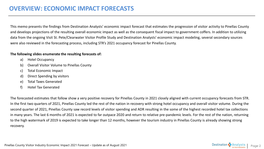This memo presents the findings from Destination Analysts' economic impact forecast that estimates the progression of visitor activity to Pinellas County and develops projections of the resulting overall economic impact as well as the consequent fiscal impact to government coffers. In addition to utilizing data from the ongoing Visit St. Pete/Clearwater Visitor Profile Study and Destination Analysts' economic impact modeling, several secondary sources were also reviewed in the forecasting process, including STR's 2021 occupancy forecast for Pinellas County.

#### **The following slides enumerate the resulting forecasts of:**

- a) Hotel Occupancy
- b) Overall Visitor Volume to Pinellas County
- c) Total Economic Impact
- d) Direct Spending by visitors
- e) Total Taxes Generated
- f) Hotel Tax Generated

The forecasted estimates that follow show a very positive recovery for Pinellas County in 2021 closely aligned with current occupancy forecasts from STR. In the first two quarters of 2021, Pinellas County led the rest of the nation in recovery with strong hotel occupancy and overall visitor volume. During the second quarter of 2021, Pinellas County saw record levels of visitor spending and ADR resulting in the some of the highest recorded hotel tax collections in many years. The last 6 months of 2021 is expected to far outpace 2020 and return to relative pre-pandemic levels. For the rest of the nation, returning to the high watermark of 2019 is expected to take longer than 12 months, however the tourism industry in Pinellas County is already showing strong recovery.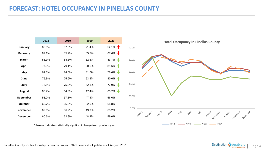# **FORECAST: HOTEL OCCUPANCY IN PINELLAS COUNTY**

|                 | 2018  | 2019  | 2020  | 2021                     | <b>Hote</b>          |
|-----------------|-------|-------|-------|--------------------------|----------------------|
| January         | 65.0% | 67.3% | 71.4% | $52.1\%$                 | 100.0%               |
| February        | 82.1% | 85.2% | 85.7% | 67.6% $\bigtriangledown$ |                      |
| <b>March</b>    | 88.1% | 88.6% | 52.6% | 83.7%                    | 80.0%                |
| <b>April</b>    | 77.3% | 79.1% | 20.6% | 81.6%                    |                      |
| May             | 69.6% | 74.6% | 41.6% | 76.6%                    | 60.0%                |
| June            | 75.3% | 75.9% | 53.3% | 80.6%                    |                      |
| July            | 76.8% | 75.9% | 52.3% | 77.9%                    | 40.0%                |
| <b>August</b>   | 65.7% | 64.3% | 47.4% | 63.2%                    |                      |
| September       | 58.0% | 57.8% | 47.4% | 56.6%                    | 20.0%                |
| October         | 62.7% | 65.9% | 52.0% | 68.8%                    |                      |
| <b>November</b> | 62.6% | 66.2% | 49.9% | 65.2%                    | 0.0%<br><b>Adris</b> |
| <b>December</b> | 60.6% | 62.9% | 48.4% | 59.0%                    | February<br>March    |

\*Arrows indicate statistically significant change from previous year

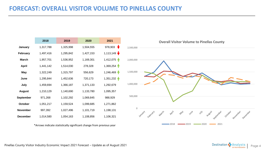# **FORECAST: OVERALL VISITOR VOLUME TO PINELLAS COUNTY**

|                  | 2018      | 2019      | 2020      | 2021                         |
|------------------|-----------|-----------|-----------|------------------------------|
| January          | 1,317,788 | 1,325,998 | 1,504,555 | $\mathbf \bullet$<br>978,903 |
| <b>February</b>  | 1,497,416 | 1,295,842 | 1,427,153 | 1,113,149                    |
| <b>March</b>     | 1,957,701 | 1,536,952 | 1,169,301 | 1,412,075                    |
| <b>April</b>     | 1,441,142 | 1,514,030 | 278,328   | 1,369,254                    |
| May              | 1,322,249 | 1,315,797 | 556,629   | 1,246,469                    |
| June             | 1,295,844 | 1,452,636 | 720,173   | $1,351,232$ $\uparrow$       |
| July             | 1,459,694 | 1,366,187 | 1,371,133 | 1,292,679                    |
| <b>August</b>    | 1,210,129 | 1,140,690 | 1,133,780 | 1,095,357                    |
| <b>September</b> | 971,268   | 1,102,292 | 1,069,845 | 988,929                      |
| October          | 1,051,217 | 1,159,524 | 1,099,685 | 1,271,862                    |
| <b>November</b>  | 997,392   | 1,027,496 | 1,101,719 | 1,198,131                    |
| <b>December</b>  | 1,014,580 | 1,054,163 | 1,108,856 | 1,106,321                    |

\*Arrows indicate statistically significant change from previous year



Pinellas County Visitor Industry Economic Impact 2021 Forecast – Update as of August 2021 Page 1 Destination Conservation Conservation Conservation Conservation Conservation Conservation Conservation Conservation Conservat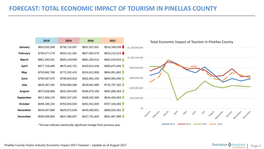# **FORECAST: TOTAL ECONOMIC IMPACT OF TOURISM IN PINELLAS COUNTY**



Pinellas County Visitor Industry Economic Impact 2021 Forecast – Update as of August 2021 Page 1 Page 5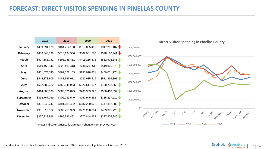## **FORECAST: DIRECT VISITOR SPENDING IN PINELLAS COUNTY**

|                  | 2018          | 2019          | 2020          | 2021               |
|------------------|---------------|---------------|---------------|--------------------|
| January          | \$409,091,070 | \$484,714,158 | \$510,035,416 | \$317,215,107      |
| <b>February</b>  | \$436,543,738 | \$516,194,500 | \$502,981,580 | \$378,160,441<br>◆ |
| <b>March</b>     | \$597,186,742 | \$596,035,411 | \$415,215,372 | \$582,902,641      |
| <b>April</b>     | \$549,456,344 | \$528,499,413 | \$98,679,651  | \$519,025,570      |
| <b>May</b>       | \$481,573,740 | \$467,322,163 | \$190,998,331 | \$489,011,274      |
| June             | \$444,378,809 | \$481,356,011 | \$222,985,319 | \$511,896,891      |
| July             | \$502,583,320 | \$458,348,933 | \$326,617,627 | \$438,732,353      |
| <b>August</b>    | \$414,000,098 | \$380,621,829 | \$265,983,922 | \$360,418,094      |
| <b>September</b> | \$318,767,769 | \$402,239,540 | \$250,945,855 | \$335,297,219      |
| October          | \$361,943,747 | \$491,281,492 | \$287,280,922 | \$447,382,082      |
| <b>November</b>  | \$331,613,372 | \$389,753,999 | \$276,298,064 | \$409,365,725      |
| <b>December</b>  | \$357,828,866 | \$395,986,491 | \$270,848,933 | \$377,605,280      |

\*Arrows indicate statistically significant change from previous year



Pinellas County Visitor Industry Economic Impact 2021 Forecast – Update as of August 2021 Page 6 **Page 1999** Page 6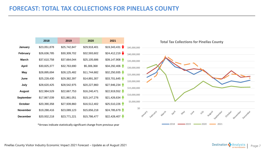# **FORECAST: TOTAL TAX COLLECTIONS FOR PINELLAS COUNTY**